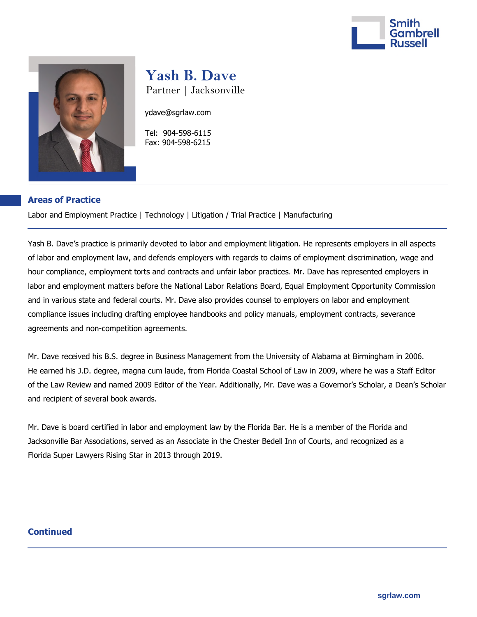



# **Yash B. Dave**

Partner | Jacksonville

ydave@sgrlaw.com

 Tel: 904-598-6115 Fax: 904-598-6215

## **Areas of Practice**

Labor and Employment Practice | Technology | Litigation / Trial Practice | Manufacturing

Yash B. Dave's practice is primarily devoted to labor and employment litigation. He represents employers in all aspects of labor and employment law, and defends employers with regards to claims of employment discrimination, wage and hour compliance, employment torts and contracts and unfair labor practices. Mr. Dave has represented employers in labor and employment matters before the National Labor Relations Board, Equal Employment Opportunity Commission and in various state and federal courts. Mr. Dave also provides counsel to employers on labor and employment compliance issues including drafting employee handbooks and policy manuals, employment contracts, severance agreements and non-competition agreements.

Mr. Dave received his B.S. degree in Business Management from the University of Alabama at Birmingham in 2006. He earned his J.D. degree, magna cum laude, from Florida Coastal School of Law in 2009, where he was a Staff Editor of the Law Review and named 2009 Editor of the Year. Additionally, Mr. Dave was a Governor's Scholar, a Dean's Scholar and recipient of several book awards.

Mr. Dave is board certified in labor and employment law by the Florida Bar. He is a member of the Florida and Jacksonville Bar Associations, served as an Associate in the Chester Bedell Inn of Courts, and recognized as a Florida Super Lawyers Rising Star in 2013 through 2019.

## **Continued**